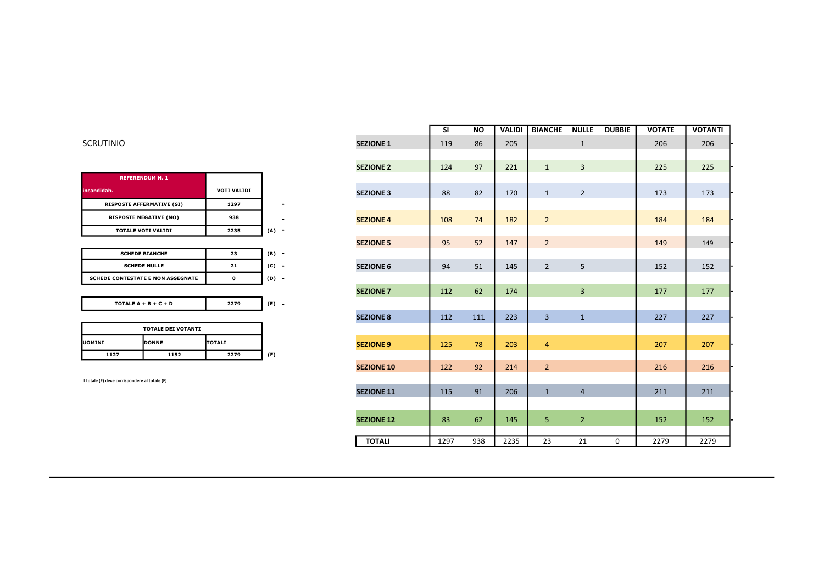| <b>VOTI VALIDI</b> |     |
|--------------------|-----|
| 1297               |     |
| 938                |     |
| 2235               | (A) |
|                    |     |

| <b>SCHEDE BIANCHE</b>                    | 23 | (B<br>- |
|------------------------------------------|----|---------|
| <b>SCHEDE NULLE</b>                      | 21 |         |
| <b>SCHEDE CONTESTATE E NON ASSEGNATE</b> |    | -       |

| TOTALE $A + B + C + D$ |  |
|------------------------|--|
|------------------------|--|

| <b>TOTALE DEI VOTANTI</b> |                                 |      |    |  |  |  |
|---------------------------|---------------------------------|------|----|--|--|--|
| <b>IUOMINI</b>            | <b>IDONNE</b><br><b>ITOTALI</b> |      |    |  |  |  |
| 1127                      | 1152                            | 2279 | F) |  |  |  |

|                                                |                                          |                    |                          |                   | <b>SI</b> | <b>NO</b> | <b>VALIDI</b> | <b>BIANCHE</b> | <b>NULLE</b>   | <b>DUBBIE</b> | <b>VOTATE</b> | <b>VOTANTI</b> |
|------------------------------------------------|------------------------------------------|--------------------|--------------------------|-------------------|-----------|-----------|---------------|----------------|----------------|---------------|---------------|----------------|
| <b>SCRUTINIO</b>                               |                                          |                    |                          | <b>SEZIONE 1</b>  | 119       | 86        | 205           |                | $\mathbf{1}$   |               | 206           | 206            |
|                                                |                                          |                    |                          |                   |           |           |               |                |                |               |               |                |
|                                                |                                          |                    |                          | <b>SEZIONE 2</b>  | 124       | 97        | 221           | $\mathbf{1}$   | $\overline{3}$ |               | 225           | 225            |
|                                                | <b>REFERENDUM N. 1</b>                   |                    |                          |                   |           |           |               |                |                |               |               |                |
| incandidab.                                    |                                          | <b>VOTI VALIDI</b> |                          | <b>SEZIONE 3</b>  | 88        | 82        | 170           | $\mathbf{1}$   | $\overline{2}$ |               | 173           | 173            |
|                                                | <b>RISPOSTE AFFERMATIVE (SI)</b>         | 1297               | $\overline{\phantom{a}}$ |                   |           |           |               |                |                |               |               |                |
|                                                | <b>RISPOSTE NEGATIVE (NO)</b>            | 938                |                          | <b>SEZIONE 4</b>  | 108       | 74        | 182           | $\overline{2}$ |                |               | 184           | 184            |
|                                                | <b>TOTALE VOTI VALIDI</b>                | 2235               | $(A)$ -                  |                   |           |           |               |                |                |               |               |                |
|                                                |                                          |                    |                          | <b>SEZIONE 5</b>  | 95        | 52        | 147           | $\overline{2}$ |                |               | 149           | 149            |
|                                                | <b>SCHEDE BIANCHE</b>                    | 23                 | $(B) -$                  |                   |           |           |               |                |                |               |               |                |
|                                                | <b>SCHEDE NULLE</b>                      | ${\bf 21}$         | $(C) -$                  | <b>SEZIONE 6</b>  | 94        | 51        | 145           | $\overline{2}$ | 5              |               | 152           | 152            |
|                                                | <b>SCHEDE CONTESTATE E NON ASSEGNATE</b> | $\mathbf 0$        | $(D) -$                  |                   |           |           |               |                |                |               |               |                |
|                                                |                                          |                    |                          | <b>SEZIONE 7</b>  | 112       | 62        | 174           |                | $\overline{3}$ |               | 177           | 177            |
|                                                | TOTALE $A + B + C + D$                   | 2279               | $(E)$ -                  |                   |           |           |               |                |                |               |               |                |
|                                                |                                          |                    |                          | <b>SEZIONE 8</b>  | 112       | 111       | 223           | $\overline{3}$ | $\mathbf{1}$   |               | 227           | 227            |
|                                                | <b>TOTALE DEI VOTANTI</b>                |                    |                          |                   |           |           |               |                |                |               |               |                |
| <b>UOMINI</b>                                  | DONNE                                    | <b>TOTALI</b>      |                          | <b>SEZIONE 9</b>  | 125       | 78        | 203           | $\overline{4}$ |                |               | 207           | 207            |
| 1127                                           | 1152                                     | 2279               | (F)                      |                   |           |           |               |                |                |               |               |                |
|                                                |                                          |                    |                          | <b>SEZIONE 10</b> | 122       | 92        | 214           | $\overline{2}$ |                |               | 216           | 216            |
| Il totale (E) deve corrispondere al totale (F) |                                          |                    |                          |                   |           |           |               |                |                |               |               |                |
|                                                |                                          |                    |                          | <b>SEZIONE 11</b> | 115       | 91        | 206           | $\mathbf{1}$   | $\overline{4}$ |               | 211           | 211            |
|                                                |                                          |                    |                          |                   |           |           |               |                |                |               |               |                |
|                                                |                                          |                    |                          | <b>SEZIONE 12</b> | 83        | 62        | 145           | 5              | $\overline{2}$ |               | 152           | 152            |
|                                                |                                          |                    |                          |                   |           |           |               |                |                |               |               |                |
|                                                |                                          |                    |                          | <b>TOTALI</b>     | 1297      | 938       | 2235          | 23             | 21             | 0             | 2279          | 2279           |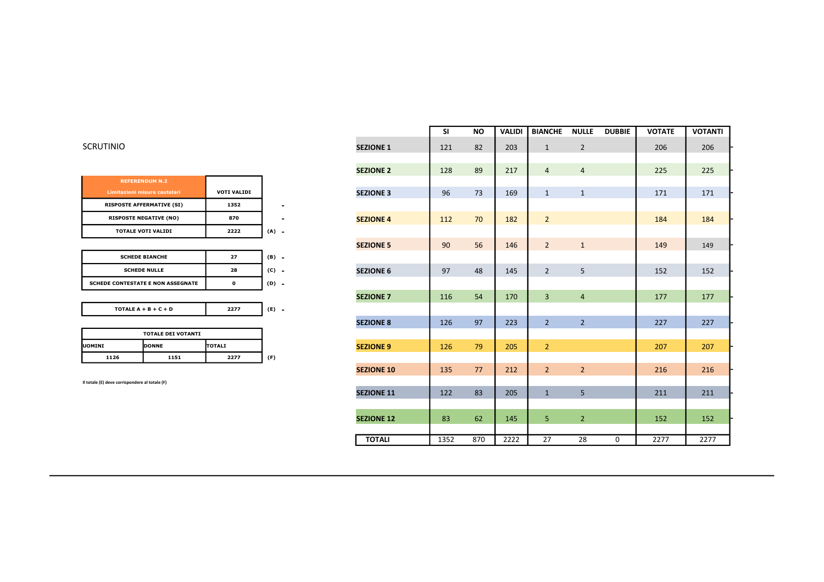| <b>REFERENDUM N.2</b>            |                    |  |
|----------------------------------|--------------------|--|
| Limitazioni misure cautelari     | <b>VOTI VALIDI</b> |  |
| <b>RISPOSTE AFFERMATIVE (SI)</b> | 1352               |  |
| <b>RISPOSTE NEGATIVE (NO)</b>    | 870                |  |
| <b>TOTALE VOTI VALIDI</b>        | 2222               |  |

|                                                |                                          |                    |                          |                   | <b>SI</b> | <b>NO</b> | <b>VALIDI</b> | <b>BIANCHE</b> | <b>NULLE</b>   | <b>DUBBIE</b> | <b>VOTATE</b> | <b>VOTANTI</b> |
|------------------------------------------------|------------------------------------------|--------------------|--------------------------|-------------------|-----------|-----------|---------------|----------------|----------------|---------------|---------------|----------------|
| <b>SCRUTINIO</b>                               |                                          |                    |                          | <b>SEZIONE 1</b>  | 121       | 82        | 203           | $\mathbf{1}$   | $\overline{2}$ |               | 206           | 206            |
|                                                |                                          |                    |                          |                   |           |           |               |                |                |               |               |                |
|                                                |                                          |                    |                          | <b>SEZIONE 2</b>  | 128       | 89        | 217           | $\overline{4}$ | $\overline{4}$ |               | 225           | 225            |
|                                                | <b>REFERENDUM N.2</b>                    |                    |                          |                   |           |           |               |                |                |               |               |                |
|                                                | Limitazioni misure cautelari             | <b>VOTI VALIDI</b> |                          | <b>SEZIONE 3</b>  | 96        | 73        | 169           | $\mathbf{1}$   | $\mathbf{1}$   |               | 171           | 171            |
|                                                | <b>RISPOSTE AFFERMATIVE (SI)</b>         | 1352               | $\overline{\phantom{0}}$ |                   |           |           |               |                |                |               |               |                |
|                                                | <b>RISPOSTE NEGATIVE (NO)</b>            | 870                |                          | <b>SEZIONE 4</b>  | 112       | 70        | 182           | $\overline{2}$ |                |               | 184           | 184            |
|                                                | <b>TOTALE VOTI VALIDI</b>                | 2222               | $(A) -$                  |                   |           |           |               |                |                |               |               |                |
|                                                |                                          |                    |                          | <b>SEZIONE 5</b>  | 90        | 56        | 146           | $\overline{2}$ | $\mathbf{1}$   |               | 149           | 149            |
|                                                | <b>SCHEDE BIANCHE</b>                    | 27                 | $(B) -$                  |                   |           |           |               |                |                |               |               |                |
|                                                | <b>SCHEDE NULLE</b>                      | 28                 | $(C) -$                  | <b>SEZIONE 6</b>  | 97        | 48        | 145           | $\overline{2}$ | 5              |               | 152           | 152            |
|                                                | <b>SCHEDE CONTESTATE E NON ASSEGNATE</b> | 0                  | $(D) -$                  |                   |           |           |               |                |                |               |               |                |
|                                                |                                          |                    |                          | <b>SEZIONE 7</b>  | 116       | 54        | 170           | $\overline{3}$ | $\overline{4}$ |               | 177           | 177            |
|                                                | TOTALE $A + B + C + D$                   | 2277               | $(E)$ -                  |                   |           |           |               |                |                |               |               |                |
|                                                |                                          |                    |                          | <b>SEZIONE 8</b>  | 126       | 97        | 223           | $2^{\circ}$    | $\overline{2}$ |               | 227           | 227            |
|                                                | <b>TOTALE DEI VOTANTI</b>                |                    |                          |                   |           |           |               |                |                |               |               |                |
| <b>UOMINI</b>                                  | DONNE                                    | <b>TOTALI</b>      |                          | <b>SEZIONE 9</b>  | 126       | 79        | 205           | $\overline{2}$ |                |               | 207           | 207            |
| 1126                                           | 1151                                     | 2277               | (F)                      |                   |           |           |               |                |                |               |               |                |
|                                                |                                          |                    |                          | <b>SEZIONE 10</b> | 135       | 77        | 212           | $2^{\circ}$    | $\overline{2}$ |               | 216           | 216            |
| Il totale (E) deve corrispondere al totale (F) |                                          |                    |                          |                   |           |           |               |                |                |               |               |                |
|                                                |                                          |                    |                          | <b>SEZIONE 11</b> | 122       | 83        | 205           | $\mathbf{1}$   | 5              |               | 211           | 211            |
|                                                |                                          |                    |                          |                   |           |           |               |                |                |               |               |                |
|                                                |                                          |                    |                          | <b>SEZIONE 12</b> | 83        | 62        | 145           | 5              | $\overline{2}$ |               | 152           | 152            |
|                                                |                                          |                    |                          |                   |           |           |               |                |                |               |               |                |
|                                                |                                          |                    |                          | <b>TOTALI</b>     | 1352      | 870       | 2222          | 27             | 28             | 0             | 2277          | 2277           |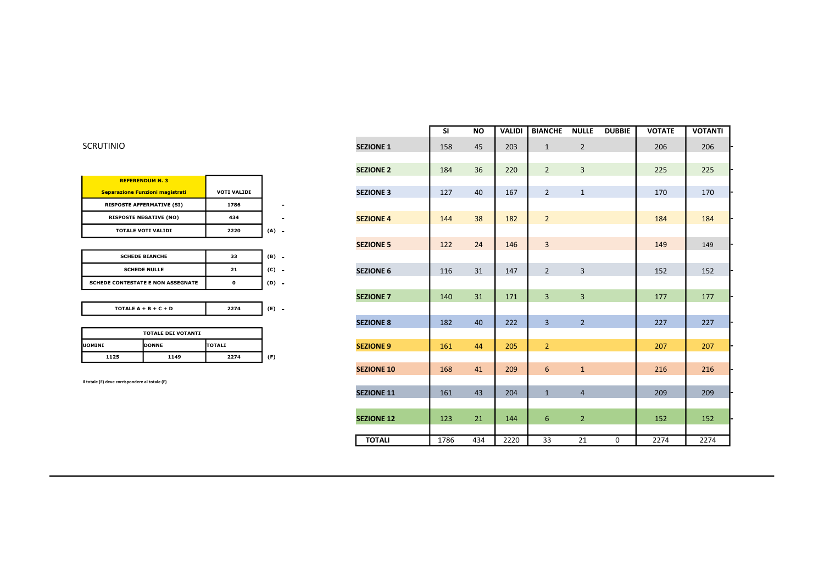| <b>VOTI VALIDI</b> |  |
|--------------------|--|
| 1786               |  |
| 434                |  |
| 2220               |  |
|                    |  |

| <b>SCHEDE BIANCHE</b>                    | 33   | (B) |
|------------------------------------------|------|-----|
| <b>SCHEDE NULLE</b>                      | 21   | (C) |
| <b>SCHEDE CONTESTATE E NON ASSEGNATE</b> |      | (D) |
|                                          |      |     |
| TOTALE $A + B + C + D$                   | 2274 |     |

|                                | <b>TOTALE DEI VOTANTI</b> |      |     |  |  |  |  |
|--------------------------------|---------------------------|------|-----|--|--|--|--|
| <b>IDONNE</b><br><b>UOMINI</b> | <b>ITOTALI</b>            |      |     |  |  |  |  |
| 1125                           | 1149                      | 2274 | (F) |  |  |  |  |

|                                                |                                          |                    |                              |                   | <b>SI</b> | <b>NO</b> | <b>VALIDI</b> | <b>BIANCHE</b> | <b>NULLE</b>   | <b>DUBBIE</b> | <b>VOTATE</b> | <b>VOTANTI</b> |
|------------------------------------------------|------------------------------------------|--------------------|------------------------------|-------------------|-----------|-----------|---------------|----------------|----------------|---------------|---------------|----------------|
| <b>SCRUTINIO</b>                               |                                          |                    |                              | <b>SEZIONE 1</b>  | 158       | 45        | 203           | $\mathbf{1}$   | $\overline{2}$ |               | 206           | 206            |
|                                                |                                          |                    |                              |                   |           |           |               |                |                |               |               |                |
|                                                |                                          |                    |                              | <b>SEZIONE 2</b>  | 184       | 36        | 220           | $\overline{2}$ | $\overline{3}$ |               | 225           | 225            |
|                                                | <b>REFERENDUM N. 3</b>                   |                    |                              |                   |           |           |               |                |                |               |               |                |
|                                                | Separazione Funzioni magistrati          | <b>VOTI VALIDI</b> |                              | <b>SEZIONE 3</b>  | 127       | 40        | 167           | $\overline{2}$ | $\mathbf{1}$   |               | 170           | 170            |
|                                                | <b>RISPOSTE AFFERMATIVE (SI)</b>         | 1786               | $\qquad \qquad \blacksquare$ |                   |           |           |               |                |                |               |               |                |
|                                                | <b>RISPOSTE NEGATIVE (NO)</b>            | 434                |                              | <b>SEZIONE 4</b>  | 144       | 38        | 182           | $\overline{2}$ |                |               | 184           | 184            |
|                                                | <b>TOTALE VOTI VALIDI</b>                | 2220               | $(A) -$                      |                   |           |           |               |                |                |               |               |                |
|                                                |                                          |                    |                              | <b>SEZIONE 5</b>  | 122       | 24        | 146           | $\overline{3}$ |                |               | 149           | 149            |
|                                                | <b>SCHEDE BIANCHE</b>                    | 33                 | $(B) -$                      |                   |           |           |               |                |                |               |               |                |
|                                                | <b>SCHEDE NULLE</b>                      | 21                 | $(C) -$                      | <b>SEZIONE 6</b>  | 116       | 31        | 147           | $\overline{2}$ | $\overline{3}$ |               | 152           | 152            |
|                                                | <b>SCHEDE CONTESTATE E NON ASSEGNATE</b> | $\pmb{\mathsf{o}}$ | $(D) -$                      |                   |           |           |               |                |                |               |               |                |
|                                                |                                          |                    |                              | <b>SEZIONE 7</b>  | 140       | 31        | 171           | $\overline{3}$ | $\overline{3}$ |               | 177           | 177            |
|                                                | TOTALE $A + B + C + D$                   | 2274               | $(E) -$                      |                   |           |           |               |                |                |               |               |                |
|                                                |                                          |                    |                              | <b>SEZIONE 8</b>  | 182       | 40        | 222           | $\overline{3}$ | $\overline{2}$ |               | 227           | 227            |
|                                                | <b>TOTALE DEI VOTANTI</b>                |                    |                              |                   |           |           |               |                |                |               |               |                |
| <b>UOMINI</b>                                  | DONNE                                    | TOTALI             |                              | <b>SEZIONE 9</b>  | 161       | 44        | 205           | $\overline{2}$ |                |               | 207           | 207            |
| 1125                                           | 1149                                     | 2274               | (F)                          |                   |           |           |               |                |                |               |               |                |
|                                                |                                          |                    |                              | <b>SEZIONE 10</b> | 168       | 41        | 209           | 6              | $\mathbf{1}$   |               | 216           | 216            |
| Il totale (E) deve corrispondere al totale (F) |                                          |                    |                              |                   |           |           |               |                |                |               |               |                |
|                                                |                                          |                    |                              | <b>SEZIONE 11</b> | 161       | 43        | 204           | $\mathbf{1}$   | $\overline{4}$ |               | 209           | 209            |
|                                                |                                          |                    |                              |                   |           |           |               |                |                |               |               |                |
|                                                |                                          |                    |                              | <b>SEZIONE 12</b> | 123       | 21        | 144           | 6              | $\overline{2}$ |               | 152           | 152            |
|                                                |                                          |                    |                              |                   |           |           |               |                |                |               |               |                |
|                                                |                                          |                    |                              | <b>TOTALI</b>     | 1786      | 434       | 2220          | 33             | 21             | $\mathbf 0$   | 2274          | 2274           |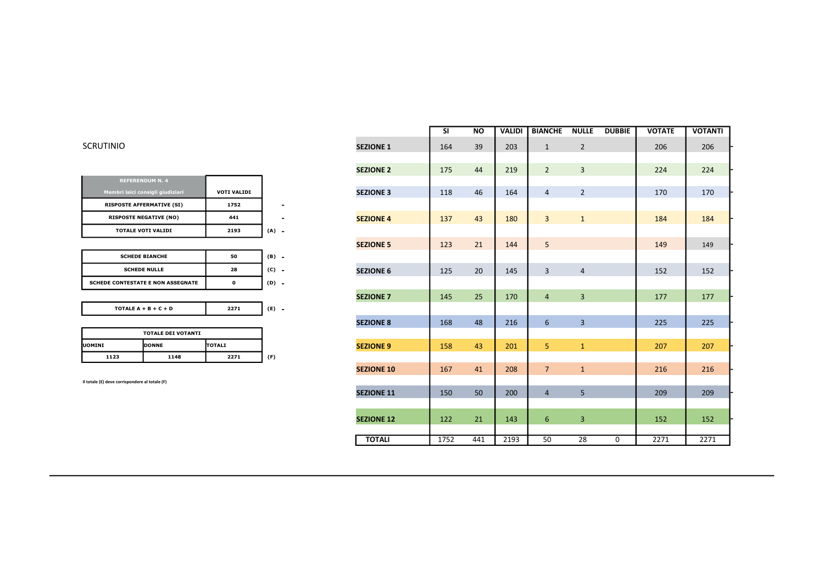| SCRUTINIO |  |  |
|-----------|--|--|
|           |  |  |

|                                                |                           |                    |                          |                   | <b>SI</b> | <b>NO</b> | <b>VALIDI</b> | <b>BIANCHE</b>  | <b>NULLE</b>   | <b>DUBBIE</b> | <b>VOTATE</b> | <b>VOTANTI</b> |
|------------------------------------------------|---------------------------|--------------------|--------------------------|-------------------|-----------|-----------|---------------|-----------------|----------------|---------------|---------------|----------------|
| <b>SCRUTINIO</b>                               |                           |                    |                          | <b>SEZIONE 1</b>  | 164       | 39        | 203           | $\mathbf{1}$    | $\overline{2}$ |               | 206           | 206            |
|                                                |                           |                    |                          |                   |           |           |               |                 |                |               |               |                |
|                                                |                           |                    |                          | <b>SEZIONE 2</b>  | 175       | 44        | 219           | $\overline{2}$  | $\overline{3}$ |               | 224           | 224            |
| <b>REFERENDUM N. 4</b>                         |                           |                    |                          |                   |           |           |               |                 |                |               |               |                |
| Membri laici consigli giudiziari               |                           | <b>VOTI VALIDI</b> |                          | <b>SEZIONE 3</b>  | 118       | 46        | 164           | $\overline{4}$  | $\overline{2}$ |               | 170           | 170            |
| <b>RISPOSTE AFFERMATIVE (SI)</b>               |                           | 1752               | $\overline{\phantom{0}}$ |                   |           |           |               |                 |                |               |               |                |
| <b>RISPOSTE NEGATIVE (NO)</b>                  |                           | 441                | ٠                        | <b>SEZIONE 4</b>  | 137       | 43        | 180           | $\overline{3}$  | $\mathbf{1}$   |               | 184           | 184            |
| <b>TOTALE VOTI VALIDI</b><br>2193              |                           |                    | $(A) -$                  |                   |           |           |               |                 |                |               |               |                |
|                                                |                           |                    |                          | <b>SEZIONE 5</b>  | 123       | 21        | 144           | 5               |                |               | 149           | 149            |
| <b>SCHEDE BIANCHE</b>                          |                           | 50                 | $(B) -$                  |                   |           |           |               |                 |                |               |               |                |
| <b>SCHEDE NULLE</b>                            |                           | 28                 | $(C)$ -                  | <b>SEZIONE 6</b>  | 125       | 20        | 145           | 3               | $\overline{4}$ |               | 152           | 152            |
| <b>SCHEDE CONTESTATE E NON ASSEGNATE</b>       |                           | $\mathbf{o}$       | $(D) -$                  |                   |           |           |               |                 |                |               |               |                |
|                                                |                           |                    |                          | <b>SEZIONE 7</b>  | 145       | 25        | 170           | $\overline{4}$  | $\overline{3}$ |               | 177           | 177            |
| TOTALE $A + B + C + D$                         |                           | 2271               | $(E) -$                  |                   |           |           |               |                 |                |               |               |                |
|                                                |                           |                    |                          | <b>SEZIONE 8</b>  | 168       | 48        | 216           | $6\overline{6}$ | $\overline{3}$ |               | 225           | 225            |
|                                                | <b>TOTALE DEI VOTANTI</b> |                    |                          |                   |           |           |               |                 |                |               |               |                |
| <b>UOMINI</b>                                  | DONNE                     | <b>TOTALI</b>      |                          | <b>SEZIONE 9</b>  | 158       | 43        | 201           | 5               | $\mathbf{1}$   |               | 207           | 207            |
| 1123                                           | 1148                      | 2271               | (F)                      |                   |           |           |               |                 |                |               |               |                |
|                                                |                           |                    |                          | <b>SEZIONE 10</b> | 167       | 41        | 208           | $7\overline{ }$ | $\mathbf{1}$   |               | 216           | 216            |
| Il totale (E) deve corrispondere al totale (F) |                           |                    | <b>SEZIONE 11</b>        | 150               | 50        | 200       |               | 5               |                | 209           | 209           |                |
|                                                |                           |                    |                          |                   |           |           |               | $\overline{4}$  |                |               |               |                |
|                                                |                           |                    |                          |                   |           |           |               |                 |                |               |               |                |
|                                                |                           |                    |                          | <b>SEZIONE 12</b> | 122       | 21        | 143           | 6               | $\overline{3}$ |               | 152           | 152            |
|                                                |                           |                    |                          | <b>TOTALI</b>     | 1752      | 441       | 2193          | 50              | 28             | 0             | 2271          | 2271           |